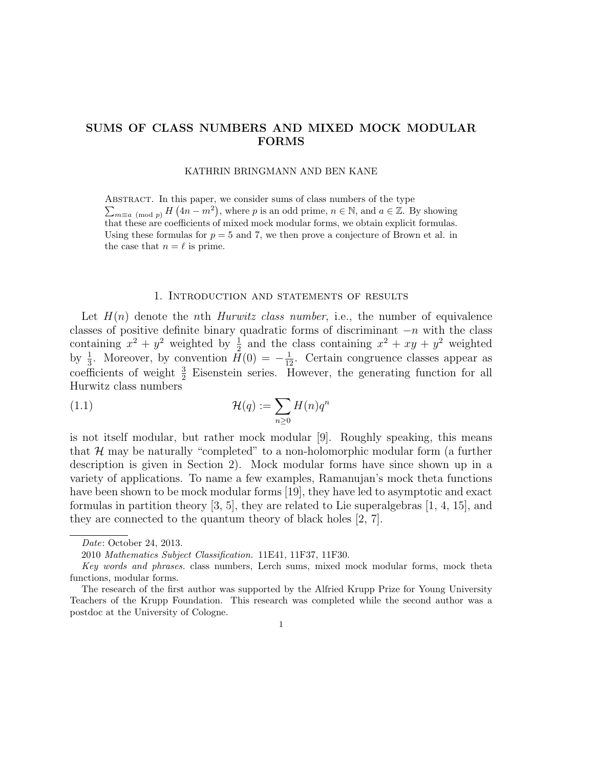# SUMS OF CLASS NUMBERS AND MIXED MOCK MODULAR FORMS

#### KATHRIN BRINGMANN AND BEN KANE

ABSTRACT. In this paper, we consider sums of class numbers of the type  $\sum_{m\equiv a\pmod{p}} H\left(4n-m^2\right)$ , where p is an odd prime,  $n \in \mathbb{N}$ , and  $a \in \mathbb{Z}$ . By showing that these are coefficients of mixed mock modular forms, we obtain explicit formulas. Using these formulas for  $p = 5$  and 7, we then prove a conjecture of Brown et al. in the case that  $n = \ell$  is prime.

### 1. Introduction and statements of results

Let  $H(n)$  denote the nth Hurwitz class number, i.e., the number of equivalence classes of positive definite binary quadratic forms of discriminant  $-n$  with the class containing  $x^2 + y^2$  weighted by  $\frac{1}{2}$  and the class containing  $x^2 + xy + y^2$  weighted by  $\frac{1}{3}$ . Moreover, by convention  $\bar{H}(0) = -\frac{1}{12}$ . Certain congruence classes appear as coefficients of weight  $\frac{3}{2}$  Eisenstein series. However, the generating function for all Hurwitz class numbers

(1.1) 
$$
\mathcal{H}(q) := \sum_{n\geq 0} H(n)q^n
$$

is not itself modular, but rather mock modular [9]. Roughly speaking, this means that  $\mathcal{H}$  may be naturally "completed" to a non-holomorphic modular form (a further description is given in Section 2). Mock modular forms have since shown up in a variety of applications. To name a few examples, Ramanujan's mock theta functions have been shown to be mock modular forms [19], they have led to asymptotic and exact formulas in partition theory [3, 5], they are related to Lie superalgebras [1, 4, 15], and they are connected to the quantum theory of black holes [2, 7].

Date: October 24, 2013.

<sup>2010</sup> Mathematics Subject Classification. 11E41, 11F37, 11F30.

Key words and phrases. class numbers, Lerch sums, mixed mock modular forms, mock theta functions, modular forms.

The research of the first author was supported by the Alfried Krupp Prize for Young University Teachers of the Krupp Foundation. This research was completed while the second author was a postdoc at the University of Cologne.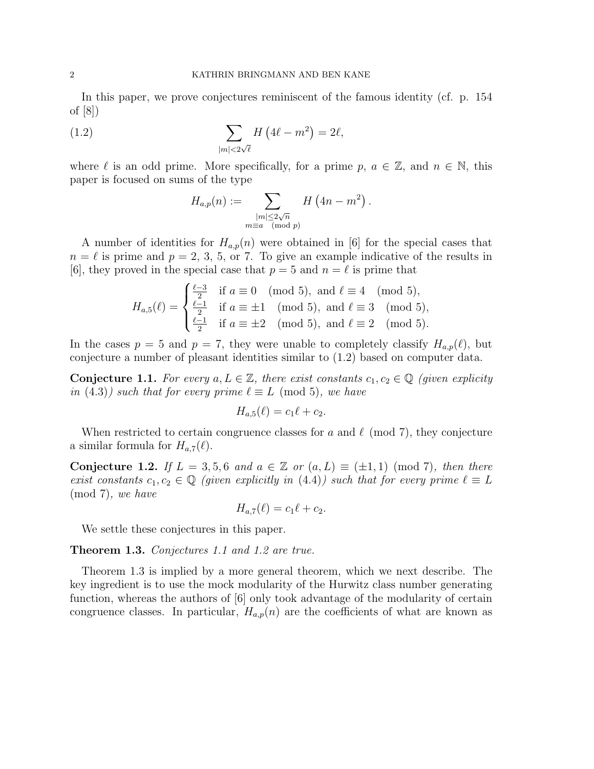In this paper, we prove conjectures reminiscent of the famous identity (cf. p. 154 of [8])

(1.2) 
$$
\sum_{|m|<2\sqrt{\ell}} H\left(4\ell - m^2\right) = 2\ell,
$$

where  $\ell$  is an odd prime. More specifically, for a prime p,  $a \in \mathbb{Z}$ , and  $n \in \mathbb{N}$ , this paper is focused on sums of the type

$$
H_{a,p}(n) := \sum_{\substack{|m| \le 2\sqrt{n} \\ m \equiv a \pmod{p}}} H\left(4n - m^2\right).
$$

A number of identities for  $H_{a,p}(n)$  were obtained in [6] for the special cases that  $n = \ell$  is prime and  $p = 2, 3, 5$ , or 7. To give an example indicative of the results in [6], they proved in the special case that  $p = 5$  and  $n = \ell$  is prime that

$$
H_{a,5}(\ell) = \begin{cases} \frac{\ell-3}{2} & \text{if } a \equiv 0 \pmod{5}, \text{ and } \ell \equiv 4 \pmod{5}, \\ \frac{\ell-1}{2} & \text{if } a \equiv \pm 1 \pmod{5}, \text{ and } \ell \equiv 3 \pmod{5}, \\ \frac{\ell-1}{2} & \text{if } a \equiv \pm 2 \pmod{5}, \text{ and } \ell \equiv 2 \pmod{5}. \end{cases}
$$

In the cases  $p = 5$  and  $p = 7$ , they were unable to completely classify  $H_{a,p}(\ell)$ , but conjecture a number of pleasant identities similar to (1.2) based on computer data.

**Conjecture 1.1.** For every  $a, L \in \mathbb{Z}$ , there exist constants  $c_1, c_2 \in \mathbb{Q}$  (given explicity in (4.3)) such that for every prime  $\ell \equiv L \pmod{5}$ , we have

$$
H_{a,5}(\ell)=c_1\ell+c_2.
$$

When restricted to certain congruence classes for a and  $\ell \pmod{7}$ , they conjecture a similar formula for  $H_{a,7}(\ell)$ .

Conjecture 1.2. If  $L = 3, 5, 6$  and  $a \in \mathbb{Z}$  or  $(a, L) \equiv (\pm 1, 1) \pmod{7}$ , then there exist constants  $c_1, c_2 \in \mathbb{Q}$  (given explicitly in (4.4)) such that for every prime  $\ell \equiv L$ (mod 7), we have

$$
H_{a,7}(\ell) = c_1 \ell + c_2.
$$

We settle these conjectures in this paper.

Theorem 1.3. Conjectures 1.1 and 1.2 are true.

Theorem 1.3 is implied by a more general theorem, which we next describe. The key ingredient is to use the mock modularity of the Hurwitz class number generating function, whereas the authors of [6] only took advantage of the modularity of certain congruence classes. In particular,  $H_{a,p}(n)$  are the coefficients of what are known as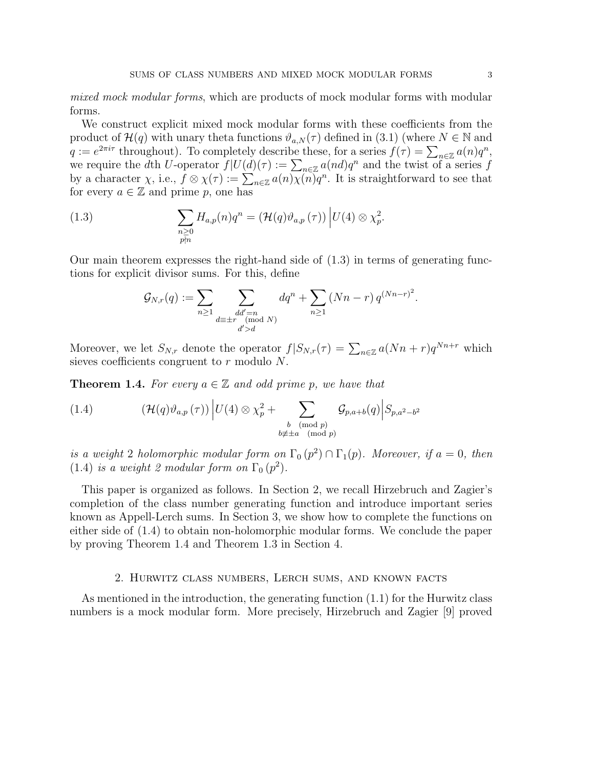mixed mock modular forms, which are products of mock modular forms with modular forms.

We construct explicit mixed mock modular forms with these coefficients from the product of  $\mathcal{H}(q)$  with unary theta functions  $\vartheta_{a,N}(\tau)$  defined in (3.1) (where  $N \in \mathbb{N}$  and  $q := e^{2\pi i \tau}$  throughout). To completely describe these, for a series  $f(\tau) = \sum_{n \in \mathbb{Z}} a(n)q^n$ , we require the dth U-operator  $f|U(d)(\tau) := \sum_{n \in \mathbb{Z}} a(nd)q^n$  and the twist of a series f by a character  $\chi$ , i.e.,  $f \otimes \chi(\tau) := \sum_{n \in \mathbb{Z}} a(n) \chi(n) q^n$ . It is straightforward to see that for every  $a \in \mathbb{Z}$  and prime p, one has

(1.3) 
$$
\sum_{\substack{n\geq 0\\ p\nmid n}} H_{a,p}(n)q^n = \left(\mathcal{H}(q)\vartheta_{a,p}\left(\tau\right)\right)\Big|U(4)\otimes \chi_p^2.
$$

Our main theorem expresses the right-hand side of  $(1.3)$  in terms of generating functions for explicit divisor sums. For this, define

$$
\mathcal{G}_{N,r}(q) := \sum_{n \geq 1} \sum_{\substack{dd' = n \ \text{mod } N}} dq^n + \sum_{n \geq 1} (Nn - r) q^{(Nn - r)^2}.
$$

Moreover, we let  $S_{N,r}$  denote the operator  $f|S_{N,r}(\tau) = \sum_{n \in \mathbb{Z}} a(Nn+r)q^{Nn+r}$  which sieves coefficients congruent to  $r$  modulo  $N$ .

**Theorem 1.4.** For every  $a \in \mathbb{Z}$  and odd prime p, we have that

(1.4) 
$$
(\mathcal{H}(q)\vartheta_{a,p}(\tau))\left|U(4)\otimes\chi_p^2+\sum_{\substack{b\pmod{p}\\b\not\equiv \pm a\pmod{p}}} \mathcal{G}_{p,a+b}(q)\right|S_{p,a^2-b^2}
$$

is a weight 2 holomorphic modular form on  $\Gamma_0(p^2) \cap \Gamma_1(p)$ . Moreover, if  $a = 0$ , then (1.4) is a weight 2 modular form on  $\Gamma_0(p^2)$ .

This paper is organized as follows. In Section 2, we recall Hirzebruch and Zagier's completion of the class number generating function and introduce important series known as Appell-Lerch sums. In Section 3, we show how to complete the functions on either side of (1.4) to obtain non-holomorphic modular forms. We conclude the paper by proving Theorem 1.4 and Theorem 1.3 in Section 4.

### 2. Hurwitz class numbers, Lerch sums, and known facts

As mentioned in the introduction, the generating function (1.1) for the Hurwitz class numbers is a mock modular form. More precisely, Hirzebruch and Zagier [9] proved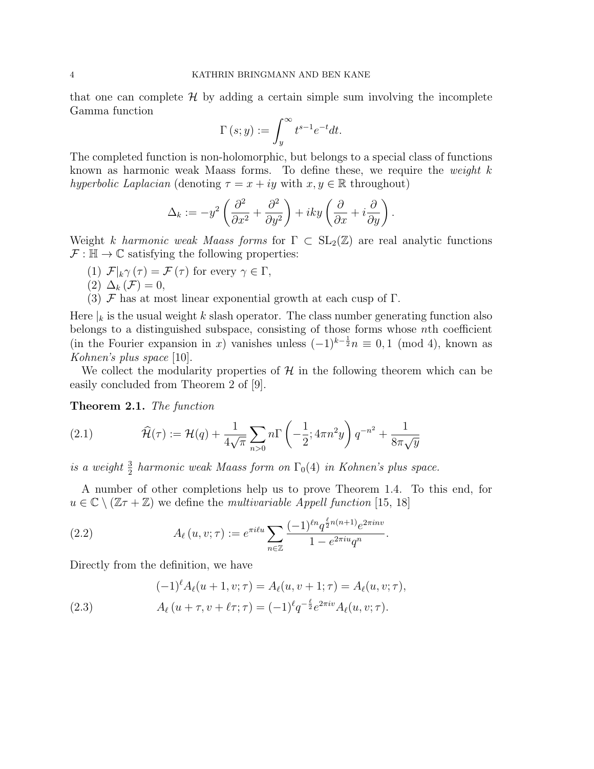that one can complete  $\mathcal H$  by adding a certain simple sum involving the incomplete Gamma function

$$
\Gamma(s; y) := \int_{y}^{\infty} t^{s-1} e^{-t} dt.
$$

The completed function is non-holomorphic, but belongs to a special class of functions known as harmonic weak Maass forms. To define these, we require the *weight*  $k$ hyperbolic Laplacian (denoting  $\tau = x + iy$  with  $x, y \in \mathbb{R}$  throughout)

$$
\Delta_k := -y^2 \left( \frac{\partial^2}{\partial x^2} + \frac{\partial^2}{\partial y^2} \right) + iky \left( \frac{\partial}{\partial x} + i \frac{\partial}{\partial y} \right).
$$

Weight k harmonic weak Maass forms for  $\Gamma \subset SL_2(\mathbb{Z})$  are real analytic functions  $\mathcal{F} : \mathbb{H} \to \mathbb{C}$  satisfying the following properties:

- (1)  $\mathcal{F}|_k \gamma(\tau) = \mathcal{F}(\tau)$  for every  $\gamma \in \Gamma$ ,
- (2)  $\Delta_k(\mathcal{F})=0$ ,
- (3)  $\mathcal F$  has at most linear exponential growth at each cusp of  $\Gamma$ .

Here  $\vert_k$  is the usual weight k slash operator. The class number generating function also belongs to a distinguished subspace, consisting of those forms whose nth coefficient (in the Fourier expansion in x) vanishes unless  $(-1)^{k-\frac{1}{2}}n \equiv 0, 1 \pmod{4}$ , known as Kohnen's plus space [10].

We collect the modularity properties of  $H$  in the following theorem which can be easily concluded from Theorem 2 of [9].

Theorem 2.1. The function

(2.1) 
$$
\widehat{\mathcal{H}}(\tau) := \mathcal{H}(q) + \frac{1}{4\sqrt{\pi}} \sum_{n>0} n\Gamma\left(-\frac{1}{2}; 4\pi n^2 y\right) q^{-n^2} + \frac{1}{8\pi\sqrt{y}}
$$

is a weight  $\frac{3}{2}$  harmonic weak Maass form on  $\Gamma_0(4)$  in Kohnen's plus space.

A number of other completions help us to prove Theorem 1.4. To this end, for  $u \in \mathbb{C} \setminus (\mathbb{Z}\tau + \mathbb{Z})$  we define the *multivariable Appell function* [15, 18]

.

(2.2) 
$$
A_{\ell}(u, v; \tau) := e^{\pi i \ell u} \sum_{n \in \mathbb{Z}} \frac{(-1)^{\ell n} q^{\frac{\ell}{2} n(n+1)} e^{2\pi i n v}}{1 - e^{2\pi i u} q^n}
$$

Directly from the definition, we have

(2.3) 
$$
(-1)^{\ell} A_{\ell}(u+1,v;\tau) = A_{\ell}(u,v+1;\tau) = A_{\ell}(u,v;\tau),
$$

$$
A_{\ell}(u+\tau,v+\ell\tau;\tau) = (-1)^{\ell} q^{-\frac{\ell}{2}} e^{2\pi i v} A_{\ell}(u,v;\tau).
$$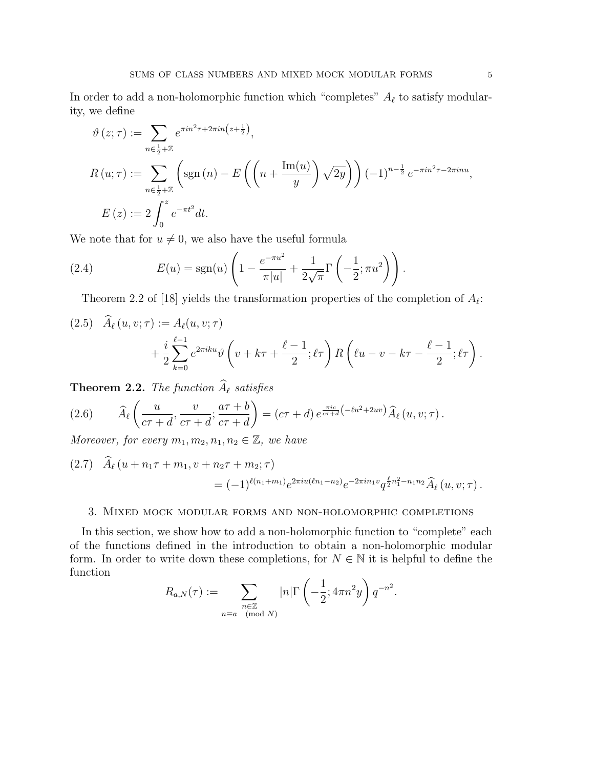In order to add a non-holomorphic function which "completes"  $A_\ell$  to satisfy modularity, we define

$$
\vartheta(z;\tau) := \sum_{n \in \frac{1}{2} + \mathbb{Z}} e^{\pi i n^2 \tau + 2\pi i n \left(z + \frac{1}{2}\right)},
$$
  
\n
$$
R(u;\tau) := \sum_{n \in \frac{1}{2} + \mathbb{Z}} \left( \text{sgn}(n) - E\left( \left( n + \frac{\text{Im}(u)}{y} \right) \sqrt{2y} \right) \right) (-1)^{n - \frac{1}{2}} e^{-\pi i n^2 \tau - 2\pi i n u},
$$
  
\n
$$
E(z) := 2 \int_0^z e^{-\pi t^2} dt.
$$

We note that for  $u \neq 0$ , we also have the useful formula

(2.4) 
$$
E(u) = \text{sgn}(u) \left( 1 - \frac{e^{-\pi u^2}}{\pi |u|} + \frac{1}{2\sqrt{\pi}} \Gamma\left(-\frac{1}{2}; \pi u^2\right) \right).
$$

Theorem 2.2 of [18] yields the transformation properties of the completion of  $A_{\ell}$ :

$$
(2.5) \quad \widehat{A}_{\ell}(u,v;\tau) := A_{\ell}(u,v;\tau) + \frac{i}{2} \sum_{k=0}^{\ell-1} e^{2\pi i k u} \vartheta \left(v + k\tau + \frac{\ell-1}{2}; \ell \tau\right) R\left(\ell u - v - k\tau - \frac{\ell-1}{2}; \ell \tau\right).
$$

**Theorem 2.2.** The function  $\widehat{A}_{\ell}$  satisfies

(2.6) 
$$
\widehat{A}_{\ell}\left(\frac{u}{c\tau+d},\frac{v}{c\tau+d};\frac{a\tau+b}{c\tau+d}\right)=(c\tau+d)e^{\frac{\pi ic}{c\tau+d}(-\ell u^2+2uv)}\widehat{A}_{\ell}(u,v;\tau).
$$

Moreover, for every  $m_1, m_2, n_1, n_2 \in \mathbb{Z}$ , we have

$$
(2.7) \quad \widehat{A}_{\ell}(u+n_1\tau+m_1,v+n_2\tau+m_2;\tau) = (-1)^{\ell(n_1+m_1)}e^{2\pi i u(\ell n_1-n_2)}e^{-2\pi i n_1 v}q^{\frac{\ell}{2}n_1^2-n_1n_2}\widehat{A}_{\ell}(u,v;\tau).
$$

# 3. Mixed mock modular forms and non-holomorphic completions

In this section, we show how to add a non-holomorphic function to "complete" each of the functions defined in the introduction to obtain a non-holomorphic modular form. In order to write down these completions, for  $N \in \mathbb{N}$  it is helpful to define the function

$$
R_{a,N}(\tau) := \sum_{\substack{n \in \mathbb{Z} \\ n \equiv a \pmod{N}}} |n| \Gamma\left(-\frac{1}{2}; 4\pi n^2 y\right) q^{-n^2}.
$$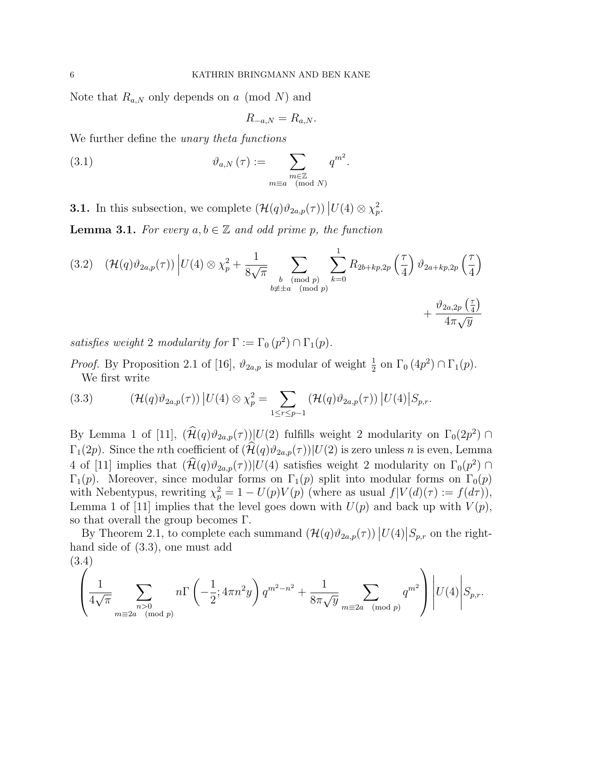Note that  $R_{a,N}$  only depends on a (mod N) and

$$
R_{-a,N} = R_{a,N}.
$$

We further define the *unary theta functions* 

(3.1) 
$$
\vartheta_{a,N}(\tau) := \sum_{\substack{m \in \mathbb{Z} \\ m \equiv a \pmod{N}}} q^{m^2}.
$$

**3.1.** In this subsection, we complete  $(\mathcal{H}(q)\vartheta_{2a,p}(\tau)) | U(4) \otimes \chi_p^2$ .

**Lemma 3.1.** For every  $a, b \in \mathbb{Z}$  and odd prime p, the function

$$
(3.2) \quad (\mathcal{H}(q)\vartheta_{2a,p}(\tau)) \Big| U(4) \otimes \chi_p^2 + \frac{1}{8\sqrt{\pi}} \sum_{\substack{b \pmod{p} \\ b \neq \pm a \pmod{p}}} \sum_{k=0}^1 R_{2b+kp,2p} \left(\frac{\tau}{4}\right) \vartheta_{2a+kp,2p} \left(\frac{\tau}{4}\right) \vartheta_{2a+kp,2p} \left(\frac{\tau}{4}\right) + \frac{\vartheta_{2a,2p} \left(\frac{\tau}{4}\right)}{4\pi \sqrt{y}}
$$

satisfies weight 2 modularity for  $\Gamma := \Gamma_0(p^2) \cap \Gamma_1(p)$ .

*Proof.* By Proposition 2.1 of [16],  $\vartheta_{2a,p}$  is modular of weight  $\frac{1}{2}$  on  $\Gamma_0(4p^2) \cap \Gamma_1(p)$ . We first write

(3.3) 
$$
(\mathcal{H}(q)\vartheta_{2a,p}(\tau)) | U(4) \otimes \chi_p^2 = \sum_{1 \leq r \leq p-1} (\mathcal{H}(q)\vartheta_{2a,p}(\tau)) | U(4) | S_{p,r}.
$$

By Lemma 1 of [11],  $(\mathcal{H}(q)\vartheta_{2a,p}(\tau))|U(2)$  fulfills weight 2 modularity on  $\Gamma_0(2p^2) \cap$  $\Gamma_1(2p)$ . Since the *n*th coefficient of  $(\widehat{\mathcal{H}}(q)\vartheta_{2a,p}(\tau))|U(2)$  is zero unless *n* is even, Lemma 4 of [11] implies that  $(\hat{\mathcal{H}}(q)\vartheta_{2a,p}(\tau))|U(4)$  satisfies weight 2 modularity on  $\Gamma_0(p^2)$  $\Gamma_1(p)$ . Moreover, since modular forms on  $\Gamma_1(p)$  split into modular forms on  $\Gamma_0(p)$ with Nebentypus, rewriting  $\chi_p^2 = 1 - U(p)V(p)$  (where as usual  $f|V(d)(\tau) := f(d\tau)$ ), Lemma 1 of [11] implies that the level goes down with  $U(p)$  and back up with  $V(p)$ , so that overall the group becomes Γ.

By Theorem 2.1, to complete each summand  $(\mathcal{H}(q)\vartheta_{2a,p}(\tau)) |U(4)|S_{p,r}$  on the righthand side of (3.3), one must add (3.4)

$$
\left(\frac{1}{4\sqrt{\pi}}\sum_{\substack{n>0\\ m\equiv 2a\pmod{p}}} n\Gamma\left(-\frac{1}{2}; 4\pi n^2 y\right) q^{m^2-n^2} + \frac{1}{8\pi\sqrt{y}} \sum_{m\equiv 2a\pmod{p}} q^{m^2}\right) \Bigg|U(4)\Bigg|S_{p,r}.
$$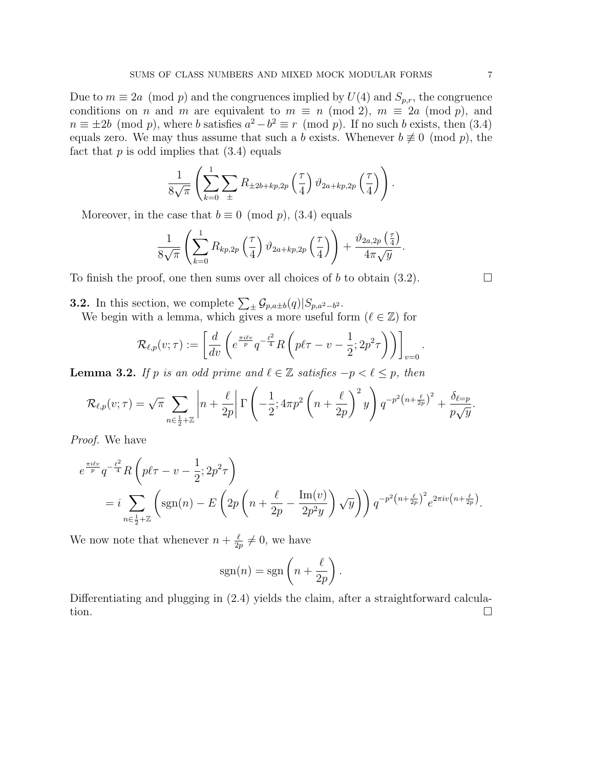Due to  $m \equiv 2a \pmod{p}$  and the congruences implied by  $U(4)$  and  $S_{p,r}$ , the congruence conditions on n and m are equivalent to  $m \equiv n \pmod{2}$ ,  $m \equiv 2a \pmod{p}$ , and  $n \equiv \pm 2b \pmod{p}$ , where b satisfies  $a^2 - b^2 \equiv r \pmod{p}$ . If no such b exists, then (3.4) equals zero. We may thus assume that such a b exists. Whenever  $b \neq 0 \pmod{p}$ , the fact that  $p$  is odd implies that  $(3.4)$  equals

$$
\frac{1}{8\sqrt{\pi}}\left(\sum_{k=0}^{1}\sum_{\pm}R_{\pm 2b+kp,2p}\left(\frac{\tau}{4}\right)\vartheta_{2a+kp,2p}\left(\frac{\tau}{4}\right)\right).
$$

Moreover, in the case that  $b \equiv 0 \pmod{p}$ , (3.4) equals

$$
\frac{1}{8\sqrt{\pi}}\left(\sum_{k=0}^{1} R_{kp,2p}\left(\frac{\tau}{4}\right)\vartheta_{2a+kp,2p}\left(\frac{\tau}{4}\right)\right)+\frac{\vartheta_{2a,2p}\left(\frac{\tau}{4}\right)}{4\pi\sqrt{y}}.
$$

To finish the proof, one then sums over all choices of b to obtain  $(3.2)$ .

**3.2.** In this section, we complete  $\sum_{\pm} \mathcal{G}_{p,a \pm b}(q) | S_{p,a^2-b^2}$ .

We begin with a lemma, which gives a more useful form  $(\ell \in \mathbb{Z})$  for

$$
\mathcal{R}_{\ell,p}(v;\tau) := \left[ \frac{d}{dv} \left( e^{\frac{\pi i \ell v}{p}} q^{-\frac{\ell^2}{4}} R \left( p\ell \tau - v - \frac{1}{2}; 2p^2 \tau \right) \right) \right]_{v=0}.
$$

**Lemma 3.2.** If p is an odd prime and  $\ell \in \mathbb{Z}$  satisfies  $-p < \ell \leq p$ , then

$$
\mathcal{R}_{\ell,p}(v;\tau) = \sqrt{\pi} \sum_{n \in \frac{1}{2} + \mathbb{Z}} \left| n + \frac{\ell}{2p} \right| \Gamma\left(-\frac{1}{2}; 4\pi p^2 \left(n + \frac{\ell}{2p}\right)^2 y\right) q^{-p^2 \left(n + \frac{\ell}{2p}\right)^2} + \frac{\delta_{\ell=p}}{p\sqrt{y}}.
$$

Proof. We have

$$
e^{\frac{\pi i \ell v}{p}} q^{-\frac{\ell^2}{4}} R\left(p\ell\tau - v - \frac{1}{2}; 2p^2\tau\right)
$$
  
= 
$$
i \sum_{n \in \frac{1}{2} + \mathbb{Z}} \left(\text{sgn}(n) - E\left(2p\left(n + \frac{\ell}{2p} - \frac{\text{Im}(v)}{2p^2y}\right) \sqrt{y}\right)\right) q^{-p^2\left(n + \frac{\ell}{2p}\right)^2} e^{2\pi i v\left(n + \frac{\ell}{2p}\right)}.
$$

We now note that whenever  $n + \frac{\ell}{2}$  $\frac{\ell}{2p} \neq 0$ , we have

$$
sgn(n) = sgn\left(n + \frac{\ell}{2p}\right).
$$

Differentiating and plugging in  $(2.4)$  yields the claim, after a straightforward calculation.  $\Box$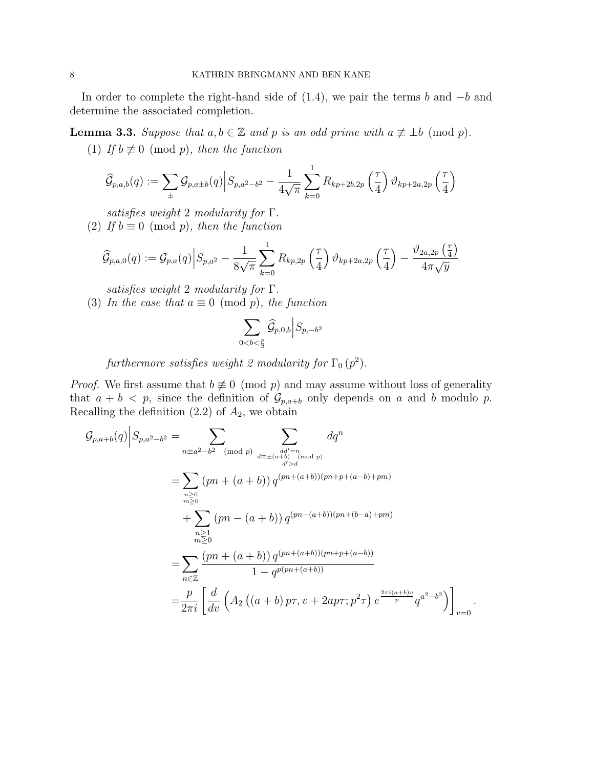In order to complete the right-hand side of  $(1.4)$ , we pair the terms b and  $-b$  and determine the associated completion.

**Lemma 3.3.** Suppose that  $a, b \in \mathbb{Z}$  and p is an odd prime with  $a \not\equiv \pm b \pmod{p}$ .

(1) If  $b \not\equiv 0 \pmod{p}$ , then the function

$$
\widehat{G}_{p,a,b}(q) := \sum_{\pm} \mathcal{G}_{p,a \pm b}(q) \Big| S_{p,a^2-b^2} - \frac{1}{4\sqrt{\pi}} \sum_{k=0}^{1} R_{kp+2b,2p} \left(\frac{\tau}{4}\right) \vartheta_{kp+2a,2p} \left(\frac{\tau}{4}\right)
$$

satisfies weight 2 modularity for Γ.

(2) If  $b \equiv 0 \pmod{p}$ , then the function

$$
\widehat{\mathcal{G}}_{p,a,0}(q) := \mathcal{G}_{p,a}(q) \Big| S_{p,a^2} - \frac{1}{8\sqrt{\pi}} \sum_{k=0}^1 R_{kp,2p} \left(\frac{\tau}{4}\right) \vartheta_{kp+2a,2p} \left(\frac{\tau}{4}\right) - \frac{\vartheta_{2a,2p} \left(\frac{\tau}{4}\right)}{4\pi \sqrt{y}}
$$

satisfies weight 2 modularity for  $\Gamma$ .

(3) In the case that  $a \equiv 0 \pmod{p}$ , the function

$$
\sum_{0
$$

furthermore satisfies weight 2 modularity for  $\Gamma_0$   $(p^2)$ .

*Proof.* We first assume that  $b \neq 0 \pmod{p}$  and may assume without loss of generality that  $a + b < p$ , since the definition of  $\mathcal{G}_{p,a+b}$  only depends on a and b modulo p. Recalling the definition  $(2.2)$  of  $A_2$ , we obtain

$$
\mathcal{G}_{p,a+b}(q) \Big| S_{p,a^2-b^2} = \sum_{\substack{n \equiv a^2-b^2 \pmod{p} \\ n \equiv 2}} \sum_{\substack{dd' = n \\ (d' > d \\ (d' > d)}} dq^n
$$
\n
$$
= \sum_{\substack{n \geq 0 \\ m \geq 0}} (pn + (a+b)) q^{(pn + (a+b))(pn + p + (a-b) + pm)}
$$
\n
$$
+ \sum_{\substack{n \geq 1 \\ n \geq 0}} (pn - (a+b)) q^{(pn - (a+b))(pn + (b-a) + pm)}
$$
\n
$$
= \sum_{n \in \mathbb{Z}} \frac{(pn + (a+b)) q^{(pn + (a+b))(pn + p + (a-b))}}{1 - q^{p(pn + (a+b))}}
$$
\n
$$
= \frac{p}{2\pi i} \left[ \frac{d}{dv} \left( A_2 \left( (a+b) p\tau, v + 2ap\tau; p^2\tau \right) e^{\frac{2\pi i (a+b)v}{p}} q^{a^2 - b^2} \right) \right]_{v=0}.
$$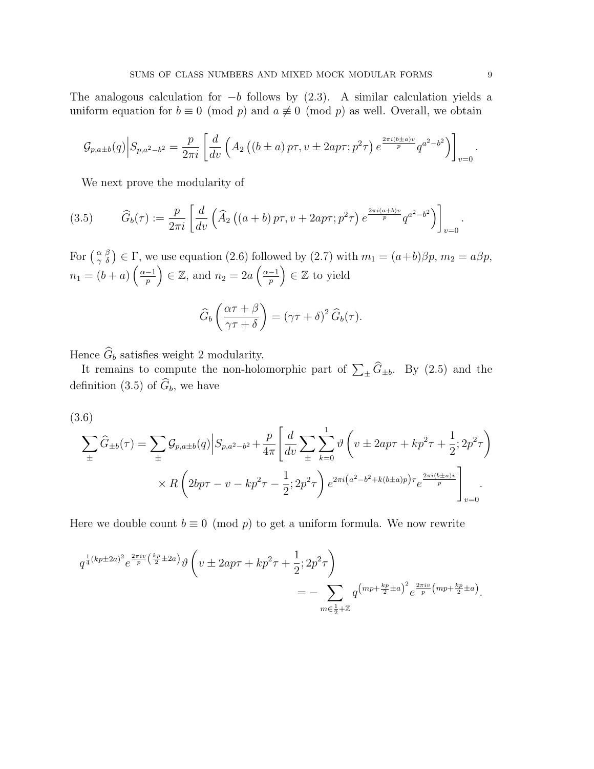The analogous calculation for  $-b$  follows by  $(2.3)$ . A similar calculation yields a uniform equation for  $b \equiv 0 \pmod{p}$  and  $a \not\equiv 0 \pmod{p}$  as well. Overall, we obtain

$$
\mathcal{G}_{p,a\pm b}(q) \Big| S_{p,a^2-b^2} = \frac{p}{2\pi i} \left[ \frac{d}{dv} \left( A_2 \left( (b \pm a) p \tau, v \pm 2ap \tau; p^2 \tau \right) e^{\frac{2\pi i (b \pm a)v}{p}} q^{a^2 - b^2} \right) \right]_{v=0}.
$$

We next prove the modularity of

(3.5) 
$$
\widehat{G}_b(\tau) := \frac{p}{2\pi i} \left[ \frac{d}{dv} \left( \widehat{A}_2 \left( (a+b) p \tau, v + 2ap \tau; p^2 \tau \right) e^{\frac{2\pi i (a+b)v}{p}} q^{a^2 - b^2} \right) \right]_{v=0}.
$$

For  $\left(\begin{smallmatrix} \alpha & \beta \\ \gamma & \delta \end{smallmatrix}\right) \in \Gamma$ , we use equation (2.6) followed by (2.7) with  $m_1 = (a+b)\beta p$ ,  $m_2 = a\beta p$ ,  $n_1 = (b + a) \left(\frac{\alpha - 1}{n}\right)$  $\left(\frac{-1}{p}\right) \in \mathbb{Z}$ , and  $n_2 = 2a \left(\frac{\alpha - 1}{p}\right)$  $\left(\frac{-1}{p}\right) \in \mathbb{Z}$  to yield

$$
\widehat{G}_b\left(\frac{\alpha\tau+\beta}{\gamma\tau+\delta}\right) = (\gamma\tau+\delta)^2 \,\widehat{G}_b(\tau).
$$

Hence  $\widehat{G}_b$  satisfies weight 2 modularity.

It remains to compute the non-holomorphic part of  $\sum_{\pm} \widetilde{G}_{\pm b}$ . By (2.5) and the definition (3.5) of  $\widehat{G}_b$ , we have

$$
(3.6)
$$

$$
\sum_{\pm} \widehat{G}_{\pm b}(\tau) = \sum_{\pm} \mathcal{G}_{p,a \pm b}(q) \Big| S_{p,a^2-b^2} + \frac{p}{4\pi} \Bigg[ \frac{d}{dv} \sum_{\pm} \sum_{k=0}^1 \vartheta \left( v \pm 2ap\tau + kp^2\tau + \frac{1}{2}; 2p^2\tau \right) \times R \left( 2bp\tau - v - kp^2\tau - \frac{1}{2}; 2p^2\tau \right) e^{2\pi i (a^2 - b^2 + k(b \pm a)p)\tau} e^{\frac{2\pi i (b \pm a)v}{p}} \Bigg]_{v=0}.
$$

Here we double count  $b \equiv 0 \pmod{p}$  to get a uniform formula. We now rewrite

$$
q^{\frac{1}{4}(kp\pm 2a)^2}e^{\frac{2\pi i v}{p}(\frac{kp}{2}\pm 2a)}\vartheta\left(v\pm 2ap\tau+kp^2\tau+\frac{1}{2};2p^2\tau\right) = -\sum_{m\in\frac{1}{2}+\mathbb{Z}}q^{\left(mp+\frac{kp}{2}\pm a\right)^2}e^{\frac{2\pi i v}{p}\left(mp+\frac{kp}{2}\pm a\right)}.
$$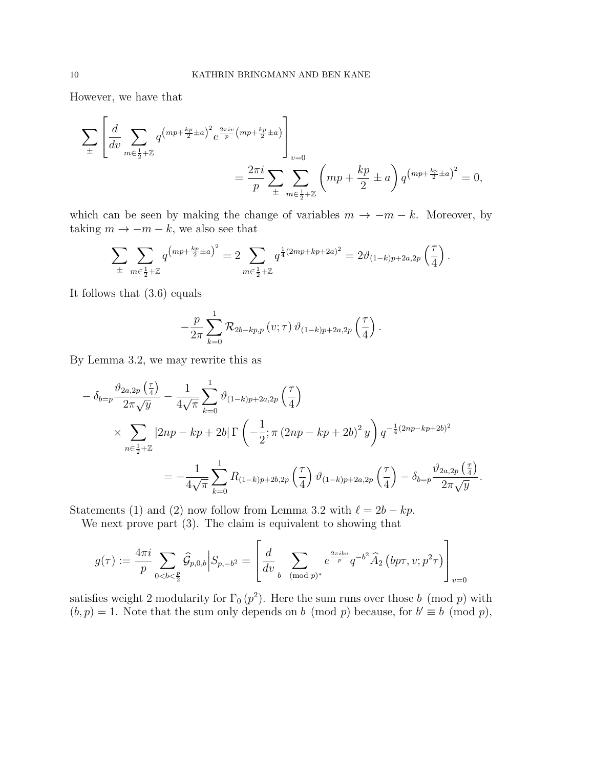However, we have that

$$
\sum_{\pm} \left[ \frac{d}{dv} \sum_{m \in \frac{1}{2} + \mathbb{Z}} q^{(mp + \frac{kp}{2} \pm a)^2} e^{\frac{2\pi i v}{p} (mp + \frac{kp}{2} \pm a)} \right]_{v=0}
$$
  
=  $\frac{2\pi i}{p} \sum_{\pm} \sum_{m \in \frac{1}{2} + \mathbb{Z}} \left( mp + \frac{kp}{2} \pm a \right) q^{(mp + \frac{kp}{2} \pm a)^2} = 0,$ 

which can be seen by making the change of variables  $m \to -m - k$ . Moreover, by taking  $m \to -m - k$ , we also see that

$$
\sum_{\pm} \sum_{m \in \frac{1}{2} + \mathbb{Z}} q^{(mp + \frac{kp}{2} \pm a)^2} = 2 \sum_{m \in \frac{1}{2} + \mathbb{Z}} q^{\frac{1}{4}(2mp + kp + 2a)^2} = 2 \vartheta_{(1-k)p + 2a, 2p} \left( \frac{\tau}{4} \right).
$$

It follows that (3.6) equals

$$
-\frac{p}{2\pi}\sum_{k=0}^{1} \mathcal{R}_{2b-kp,p}(v;\tau)\,\vartheta_{(1-k)p+2a,2p}\left(\frac{\tau}{4}\right).
$$

By Lemma 3.2, we may rewrite this as

$$
- \delta_{b=p} \frac{\vartheta_{2a,2p} \left(\frac{\tau}{4}\right)}{2\pi \sqrt{y}} - \frac{1}{4\sqrt{\pi}} \sum_{k=0}^{1} \vartheta_{(1-k)p+2a,2p} \left(\frac{\tau}{4}\right)
$$
  
\$\times \sum\_{n \in \frac{1}{2} + \mathbb{Z}} |2np - kp + 2b| \Gamma\left(-\frac{1}{2}; \pi (2np - kp + 2b)^2 y\right) q^{-\frac{1}{4}(2np - kp + 2b)^2}\$  

$$
= -\frac{1}{4\sqrt{\pi}} \sum_{k=0}^{1} R_{(1-k)p+2b,2p} \left(\frac{\tau}{4}\right) \vartheta_{(1-k)p+2a,2p} \left(\frac{\tau}{4}\right) - \delta_{b=p} \frac{\vartheta_{2a,2p} \left(\frac{\tau}{4}\right)}{2\pi \sqrt{y}}.
$$

Statements (1) and (2) now follow from Lemma 3.2 with  $\ell = 2b - kp$ .

We next prove part (3). The claim is equivalent to showing that

$$
g(\tau) := \frac{4\pi i}{p} \sum_{0 < b < \frac{p}{2}} \widehat{\mathcal{G}}_{p,0,b} \Big| S_{p,-b^2} = \left[ \frac{d}{dv} \sum_{b \pmod{p}^*} e^{\frac{2\pi i b v}{p}} q^{-b^2} \widehat{A}_2 \left( bp\tau, v; p^2\tau \right) \right]_{v=0}
$$

satisfies weight 2 modularity for  $\Gamma_0 (p^2)$ . Here the sum runs over those b (mod p) with  $(b, p) = 1$ . Note that the sum only depends on b (mod p) because, for  $b' \equiv b \pmod{p}$ ,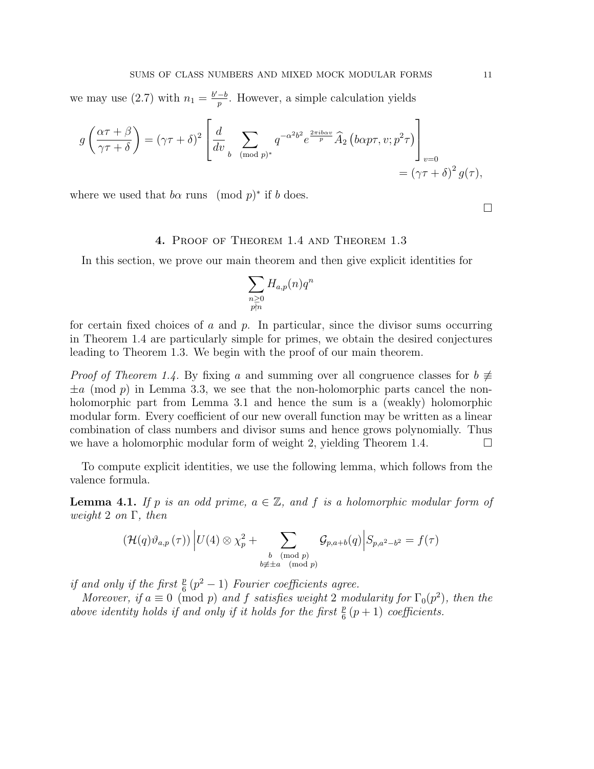we may use (2.7) with  $n_1 = \frac{b'-b}{n}$  $\frac{-b}{p}$ . However, a simple calculation yields

$$
g\left(\frac{\alpha\tau+\beta}{\gamma\tau+\delta}\right) = (\gamma\tau+\delta)^2 \left[\frac{d}{dv}\sum_{b \pmod{p}^*} q^{-\alpha^2 b^2} e^{\frac{2\pi ib\alpha v}{p}} \widehat{A}_2\left(b\alpha p\tau, v; p^2\tau\right)\right]_{v=0}
$$
  
=  $(\gamma\tau+\delta)^2 g(\tau),$ 

where we used that  $b\alpha$  runs (mod  $p$ )<sup>\*</sup> if b does.

 $\Box$ 

# 4. Proof of Theorem 1.4 and Theorem 1.3

In this section, we prove our main theorem and then give explicit identities for

$$
\sum_{\substack{n \geq 0 \\ p \nmid n}} H_{a,p}(n) q^n
$$

for certain fixed choices of a and  $p$ . In particular, since the divisor sums occurring in Theorem 1.4 are particularly simple for primes, we obtain the desired conjectures leading to Theorem 1.3. We begin with the proof of our main theorem.

*Proof of Theorem 1.4.* By fixing a and summing over all congruence classes for  $b \neq 0$  $\pm a \pmod{p}$  in Lemma 3.3, we see that the non-holomorphic parts cancel the nonholomorphic part from Lemma 3.1 and hence the sum is a (weakly) holomorphic modular form. Every coefficient of our new overall function may be written as a linear combination of class numbers and divisor sums and hence grows polynomially. Thus we have a holomorphic modular form of weight 2, yielding Theorem 1.4.  $\Box$ 

To compute explicit identities, we use the following lemma, which follows from the valence formula.

**Lemma 4.1.** If p is an odd prime,  $a \in \mathbb{Z}$ , and f is a holomorphic modular form of weight 2 on  $\Gamma$ , then

$$
(\mathcal{H}(q)\vartheta_{a,p}(\tau)) \Big| U(4) \otimes \chi_p^2 + \sum_{\substack{b \pmod{p} \\ b \not\equiv \pm a \pmod{p}}} \mathcal{G}_{p,a+b}(q) \Big| S_{p,a^2-b^2} = f(\tau)
$$

if and only if the first  $\frac{p}{6}(p^2-1)$  Fourier coefficients agree.

Moreover, if  $a \equiv 0 \pmod{p}$  and f satisfies weight 2 modularity for  $\Gamma_0(p^2)$ , then the above identity holds if and only if it holds for the first  $\frac{p}{6}(p+1)$  coefficients.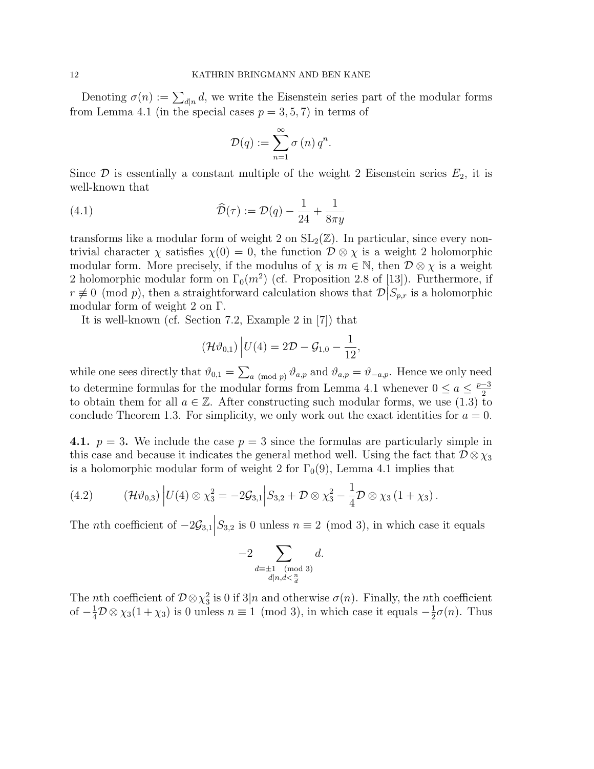Denoting  $\sigma(n) := \sum_{d|n} d$ , we write the Eisenstein series part of the modular forms from Lemma 4.1 (in the special cases  $p = 3, 5, 7$ ) in terms of

$$
\mathcal{D}(q) := \sum_{n=1}^{\infty} \sigma(n) q^n.
$$

Since  $\mathcal D$  is essentially a constant multiple of the weight 2 Eisenstein series  $E_2$ , it is well-known that

(4.1) 
$$
\widehat{\mathcal{D}}(\tau) := \mathcal{D}(q) - \frac{1}{24} + \frac{1}{8\pi y}
$$

transforms like a modular form of weight 2 on  $SL_2(\mathbb{Z})$ . In particular, since every nontrivial character  $\chi$  satisfies  $\chi(0) = 0$ , the function  $\mathcal{D} \otimes \chi$  is a weight 2 holomorphic modular form. More precisely, if the modulus of  $\chi$  is  $m \in \mathbb{N}$ , then  $\mathcal{D} \otimes \chi$  is a weight 2 holomorphic modular form on  $\Gamma_0(m^2)$  (cf. Proposition 2.8 of [13]). Furthermore, if  $r \not\equiv 0 \pmod{p}$ , then a straightforward calculation shows that  $\mathcal{D}|S_{p,r}$  is a holomorphic modular form of weight 2 on Γ.

It is well-known (cf. Section 7.2, Example 2 in [7]) that

$$
(\mathcal{H}\vartheta_{0,1}) | U(4) = 2\mathcal{D} - \mathcal{G}_{1,0} - \frac{1}{12},
$$

while one sees directly that  $\vartheta_{0,1} = \sum_{a \pmod{p}} \vartheta_{a,p}$  and  $\vartheta_{a,p} = \vartheta_{-a,p}$ . Hence we only need to determine formulas for the modular forms from Lemma 4.1 whenever  $0 \le a \le \frac{p-3}{2}$ 2 to obtain them for all  $a \in \mathbb{Z}$ . After constructing such modular forms, we use (1.3) to conclude Theorem 1.3. For simplicity, we only work out the exact identities for  $a = 0$ .

4.1.  $p = 3$ . We include the case  $p = 3$  since the formulas are particularly simple in this case and because it indicates the general method well. Using the fact that  $\mathcal{D}\otimes\chi_3$ is a holomorphic modular form of weight 2 for  $\Gamma_0(9)$ , Lemma 4.1 implies that

(4.2) 
$$
(\mathcal{H}\vartheta_{0,3}) |U(4) \otimes \chi_3^2 = -2\mathcal{G}_{3,1} | S_{3,2} + \mathcal{D} \otimes \chi_3^2 - \frac{1}{4} \mathcal{D} \otimes \chi_3 (1 + \chi_3).
$$

The *n*th coefficient of  $-2\mathcal{G}_{3,1}$  $S_{3,2}$  is 0 unless  $n \equiv 2 \pmod{3}$ , in which case it equals

$$
-2\sum_{\substack{d\equiv \pm 1\pmod{3} \\ d|n, d < \frac{n}{d}}}d.
$$

The *n*th coefficient of  $\mathcal{D}\otimes\chi_3^2$  is 0 if 3|*n* and otherwise  $\sigma(n)$ . Finally, the *n*th coefficient of  $-\frac{1}{4}\mathcal{D}\otimes\chi_3(1+\chi_3)$  is 0 unless  $n\equiv 1 \pmod{3}$ , in which case it equals  $-\frac{1}{2}$  $\frac{1}{2}\sigma(n)$ . Thus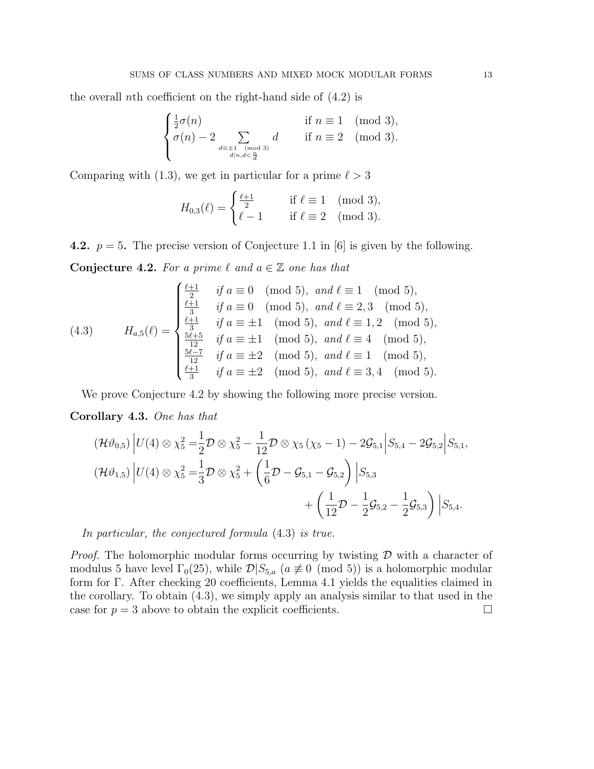the overall *n*th coefficient on the right-hand side of  $(4.2)$  is

$$
\begin{cases} \frac{1}{2}\sigma(n) & \text{if } n \equiv 1 \pmod{3}, \\ \sigma(n) - 2 \sum_{\substack{d \equiv \pm 1 \pmod{3} \\ d|n, d < \frac{n}{d}}} d & \text{if } n \equiv 2 \pmod{3}. \end{cases}
$$

Comparing with (1.3), we get in particular for a prime  $\ell > 3$ 

$$
H_{0,3}(\ell) = \begin{cases} \frac{\ell+1}{2} & \text{if } \ell \equiv 1 \pmod{3}, \\ \ell-1 & \text{if } \ell \equiv 2 \pmod{3}. \end{cases}
$$

4.2.  $p = 5$ . The precise version of Conjecture 1.1 in [6] is given by the following.

Conjecture 4.2. For a prime  $\ell$  and  $a \in \mathbb{Z}$  one has that

(4.3) 
$$
H_{a,5}(\ell) = \begin{cases} \frac{\ell+1}{2} & \text{if } a \equiv 0 \pmod{5}, \text{ and } \ell \equiv 1 \pmod{5}, \\ \frac{\ell+1}{3} & \text{if } a \equiv 0 \pmod{5}, \text{ and } \ell \equiv 2, 3 \pmod{5}, \\ \frac{\ell+1}{3} & \text{if } a \equiv \pm 1 \pmod{5}, \text{ and } \ell \equiv 1, 2 \pmod{5}, \\ \frac{\frac{5\ell+5}{12}}{12} & \text{if } a \equiv \pm 1 \pmod{5}, \text{ and } \ell \equiv 4 \pmod{5}, \\ \frac{\frac{5\ell-7}{12}}{3} & \text{if } a \equiv \pm 2 \pmod{5}, \text{ and } \ell \equiv 1 \pmod{5}, \\ \frac{\ell+1}{3} & \text{if } a \equiv \pm 2 \pmod{5}, \text{ and } \ell \equiv 3, 4 \pmod{5}. \end{cases}
$$

We prove Conjecture 4.2 by showing the following more precise version.

Corollary 4.3. One has that

$$
(\mathcal{H}\vartheta_{0,5})|U(4)\otimes\chi_5^2=\frac{1}{2}\mathcal{D}\otimes\chi_5^2-\frac{1}{12}\mathcal{D}\otimes\chi_5(\chi_5-1)-2\mathcal{G}_{5,1}|S_{5,4}-2\mathcal{G}_{5,2}|S_{5,1},\n(\mathcal{H}\vartheta_{1,5})|U(4)\otimes\chi_5^2=\frac{1}{3}\mathcal{D}\otimes\chi_5^2+\left(\frac{1}{6}\mathcal{D}-\mathcal{G}_{5,1}-\mathcal{G}_{5,2}\right)|S_{5,3}+\left(\frac{1}{12}\mathcal{D}-\frac{1}{2}\mathcal{G}_{5,2}-\frac{1}{2}\mathcal{G}_{5,3}\right)|S_{5,4}.
$$

In particular, the conjectured formula (4.3) is true.

*Proof.* The holomorphic modular forms occurring by twisting  $D$  with a character of modulus 5 have level  $\Gamma_0(25)$ , while  $\mathcal{D}|S_{5,a}$   $(a \not\equiv 0 \pmod{5})$  is a holomorphic modular form for Γ. After checking 20 coefficients, Lemma 4.1 yields the equalities claimed in the corollary. To obtain (4.3), we simply apply an analysis similar to that used in the case for  $p = 3$  above to obtain the explicit coefficients.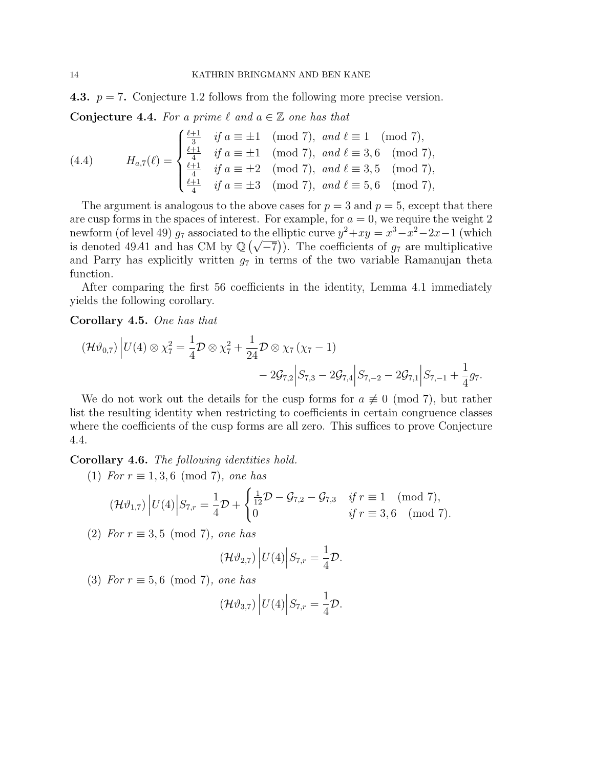4.3.  $p = 7$ . Conjecture 1.2 follows from the following more precise version.

Conjecture 4.4. For a prime  $\ell$  and  $a \in \mathbb{Z}$  one has that

(4.4) 
$$
H_{a,7}(\ell) = \begin{cases} \frac{\ell+1}{3} & \text{if } a \equiv \pm 1 \pmod{7}, \text{ and } \ell \equiv 1 \pmod{7}, \\ \frac{\ell+1}{4} & \text{if } a \equiv \pm 1 \pmod{7}, \text{ and } \ell \equiv 3, 6 \pmod{7}, \\ \frac{\ell+1}{4} & \text{if } a \equiv \pm 2 \pmod{7}, \text{ and } \ell \equiv 3, 5 \pmod{7}, \\ \frac{\ell+1}{4} & \text{if } a \equiv \pm 3 \pmod{7}, \text{ and } \ell \equiv 5, 6 \pmod{7}, \end{cases}
$$

The argument is analogous to the above cases for  $p = 3$  and  $p = 5$ , except that there are cusp forms in the spaces of interest. For example, for  $a = 0$ , we require the weight 2 newform (of level 49)  $g_7$  associated to the elliptic curve  $y^2 + xy = x^3 - x^2 - 2x - 1$  (which newform (of level 49)  $g_7$  associated to the emptic curve  $y^-+xy=x^3-x^2-2x-1$  (which<br>is denoted 49A1 and has CM by  $\mathbb{Q}(\sqrt{-7})$ ). The coefficients of  $g_7$  are multiplicative and Parry has explicitly written  $g_7$  in terms of the two variable Ramanujan theta function.

After comparing the first 56 coefficients in the identity, Lemma 4.1 immediately yields the following corollary.

# Corollary 4.5. One has that

$$
(\mathcal{H}\vartheta_{0,7})\left|U(4)\otimes\chi_{7}^{2}=\frac{1}{4}\mathcal{D}\otimes\chi_{7}^{2}+\frac{1}{24}\mathcal{D}\otimes\chi_{7}\left(\chi_{7}-1\right)\right.-2\mathcal{G}_{7,2}\left|S_{7,3}-2\mathcal{G}_{7,4}\right|S_{7,-2}-2\mathcal{G}_{7,1}\left|S_{7,-1}+\frac{1}{4}g_{7}\right>.
$$

We do not work out the details for the cusp forms for  $a \not\equiv 0 \pmod{7}$ , but rather list the resulting identity when restricting to coefficients in certain congruence classes where the coefficients of the cusp forms are all zero. This suffices to prove Conjecture 4.4.

Corollary 4.6. The following identities hold.

(1) For  $r \equiv 1, 3, 6 \pmod{7}$ , one has

$$
(\mathcal{H}\vartheta_{1,7}) |U(4)| S_{7,r} = \frac{1}{4}\mathcal{D} + \begin{cases} \frac{1}{12}\mathcal{D} - \mathcal{G}_{7,2} - \mathcal{G}_{7,3} & \text{if } r \equiv 1 \pmod{7}, \\ 0 & \text{if } r \equiv 3,6 \pmod{7}. \end{cases}
$$

(2) For  $r \equiv 3, 5 \pmod{7}$ , one has

$$
(\mathcal{H}\vartheta_{2,7}) |U(4)| S_{7,r} = \frac{1}{4}\mathcal{D}.
$$

(3) For  $r \equiv 5, 6 \pmod{7}$ , one has

$$
(\mathcal{H}\vartheta_{3,7})\bigg|U(4)\bigg|S_{7,r}=\frac{1}{4}\mathcal{D}.
$$